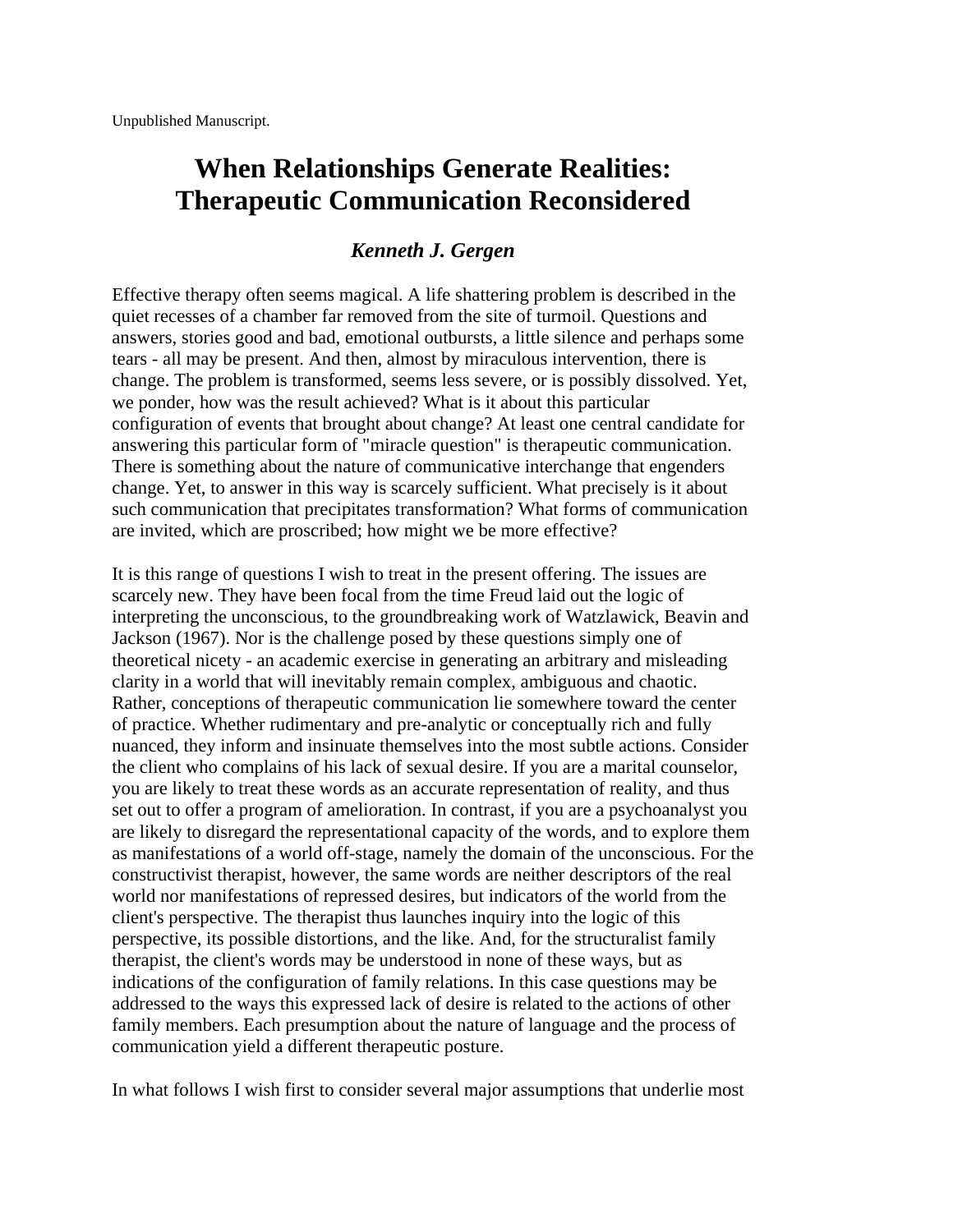# **When Relationships Generate Realities: Therapeutic Communication Reconsidered**

# *Kenneth J. Gergen*

Effective therapy often seems magical. A life shattering problem is described in the quiet recesses of a chamber far removed from the site of turmoil. Questions and answers, stories good and bad, emotional outbursts, a little silence and perhaps some tears - all may be present. And then, almost by miraculous intervention, there is change. The problem is transformed, seems less severe, or is possibly dissolved. Yet, we ponder, how was the result achieved? What is it about this particular configuration of events that brought about change? At least one central candidate for answering this particular form of "miracle question" is therapeutic communication. There is something about the nature of communicative interchange that engenders change. Yet, to answer in this way is scarcely sufficient. What precisely is it about such communication that precipitates transformation? What forms of communication are invited, which are proscribed; how might we be more effective?

It is this range of questions I wish to treat in the present offering. The issues are scarcely new. They have been focal from the time Freud laid out the logic of interpreting the unconscious, to the groundbreaking work of Watzlawick, Beavin and Jackson (1967). Nor is the challenge posed by these questions simply one of theoretical nicety - an academic exercise in generating an arbitrary and misleading clarity in a world that will inevitably remain complex, ambiguous and chaotic. Rather, conceptions of therapeutic communication lie somewhere toward the center of practice. Whether rudimentary and pre-analytic or conceptually rich and fully nuanced, they inform and insinuate themselves into the most subtle actions. Consider the client who complains of his lack of sexual desire. If you are a marital counselor, you are likely to treat these words as an accurate representation of reality, and thus set out to offer a program of amelioration. In contrast, if you are a psychoanalyst you are likely to disregard the representational capacity of the words, and to explore them as manifestations of a world off-stage, namely the domain of the unconscious. For the constructivist therapist, however, the same words are neither descriptors of the real world nor manifestations of repressed desires, but indicators of the world from the client's perspective. The therapist thus launches inquiry into the logic of this perspective, its possible distortions, and the like. And, for the structuralist family therapist, the client's words may be understood in none of these ways, but as indications of the configuration of family relations. In this case questions may be addressed to the ways this expressed lack of desire is related to the actions of other family members. Each presumption about the nature of language and the process of communication yield a different therapeutic posture.

In what follows I wish first to consider several major assumptions that underlie most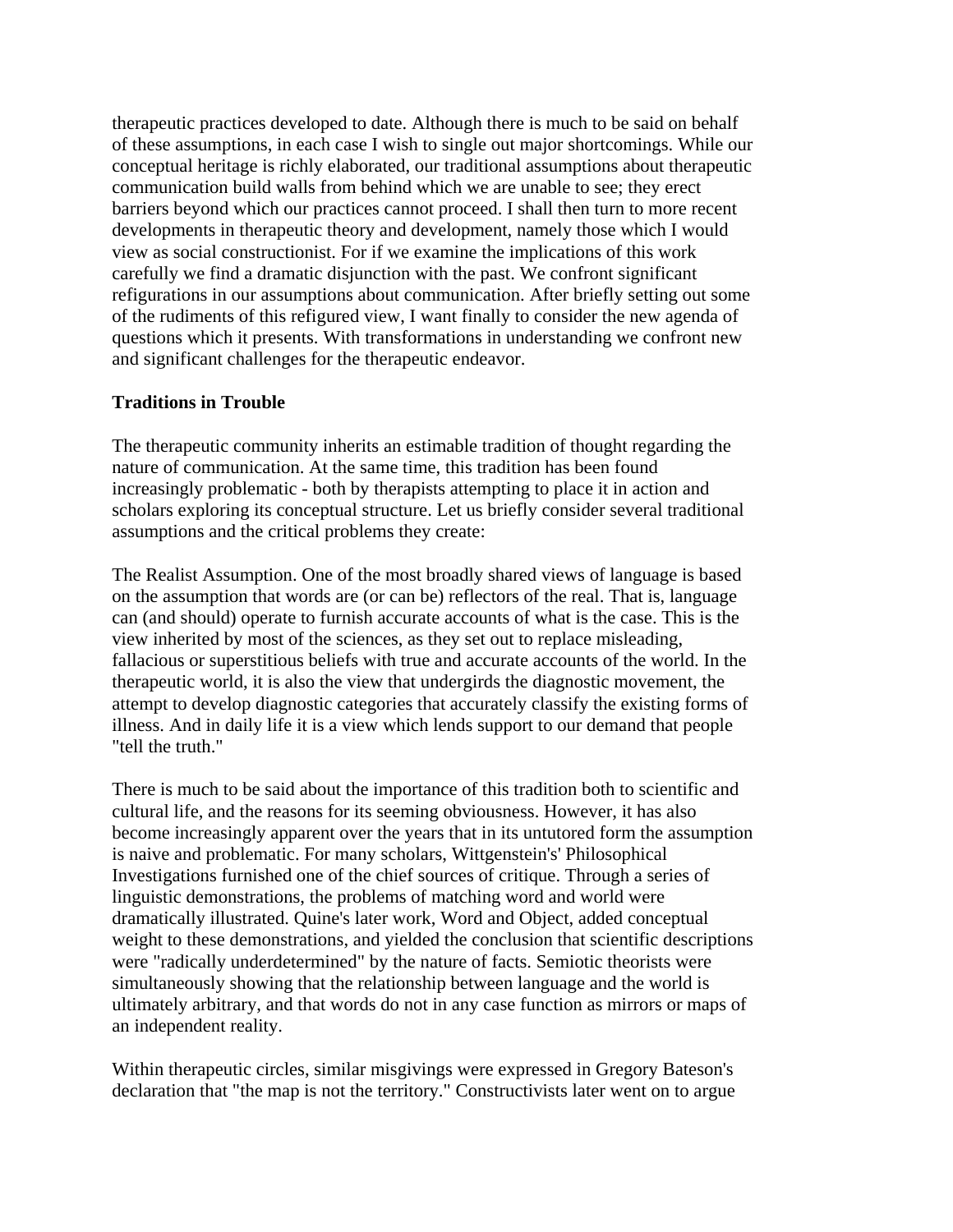therapeutic practices developed to date. Although there is much to be said on behalf of these assumptions, in each case I wish to single out major shortcomings. While our conceptual heritage is richly elaborated, our traditional assumptions about therapeutic communication build walls from behind which we are unable to see; they erect barriers beyond which our practices cannot proceed. I shall then turn to more recent developments in therapeutic theory and development, namely those which I would view as social constructionist. For if we examine the implications of this work carefully we find a dramatic disjunction with the past. We confront significant refigurations in our assumptions about communication. After briefly setting out some of the rudiments of this refigured view, I want finally to consider the new agenda of questions which it presents. With transformations in understanding we confront new and significant challenges for the therapeutic endeavor.

#### **Traditions in Trouble**

The therapeutic community inherits an estimable tradition of thought regarding the nature of communication. At the same time, this tradition has been found increasingly problematic - both by therapists attempting to place it in action and scholars exploring its conceptual structure. Let us briefly consider several traditional assumptions and the critical problems they create:

The Realist Assumption. One of the most broadly shared views of language is based on the assumption that words are (or can be) reflectors of the real. That is, language can (and should) operate to furnish accurate accounts of what is the case. This is the view inherited by most of the sciences, as they set out to replace misleading, fallacious or superstitious beliefs with true and accurate accounts of the world. In the therapeutic world, it is also the view that undergirds the diagnostic movement, the attempt to develop diagnostic categories that accurately classify the existing forms of illness. And in daily life it is a view which lends support to our demand that people "tell the truth."

There is much to be said about the importance of this tradition both to scientific and cultural life, and the reasons for its seeming obviousness. However, it has also become increasingly apparent over the years that in its untutored form the assumption is naive and problematic. For many scholars, Wittgenstein's' Philosophical Investigations furnished one of the chief sources of critique. Through a series of linguistic demonstrations, the problems of matching word and world were dramatically illustrated. Quine's later work, Word and Object, added conceptual weight to these demonstrations, and yielded the conclusion that scientific descriptions were "radically underdetermined" by the nature of facts. Semiotic theorists were simultaneously showing that the relationship between language and the world is ultimately arbitrary, and that words do not in any case function as mirrors or maps of an independent reality.

Within therapeutic circles, similar misgivings were expressed in Gregory Bateson's declaration that "the map is not the territory." Constructivists later went on to argue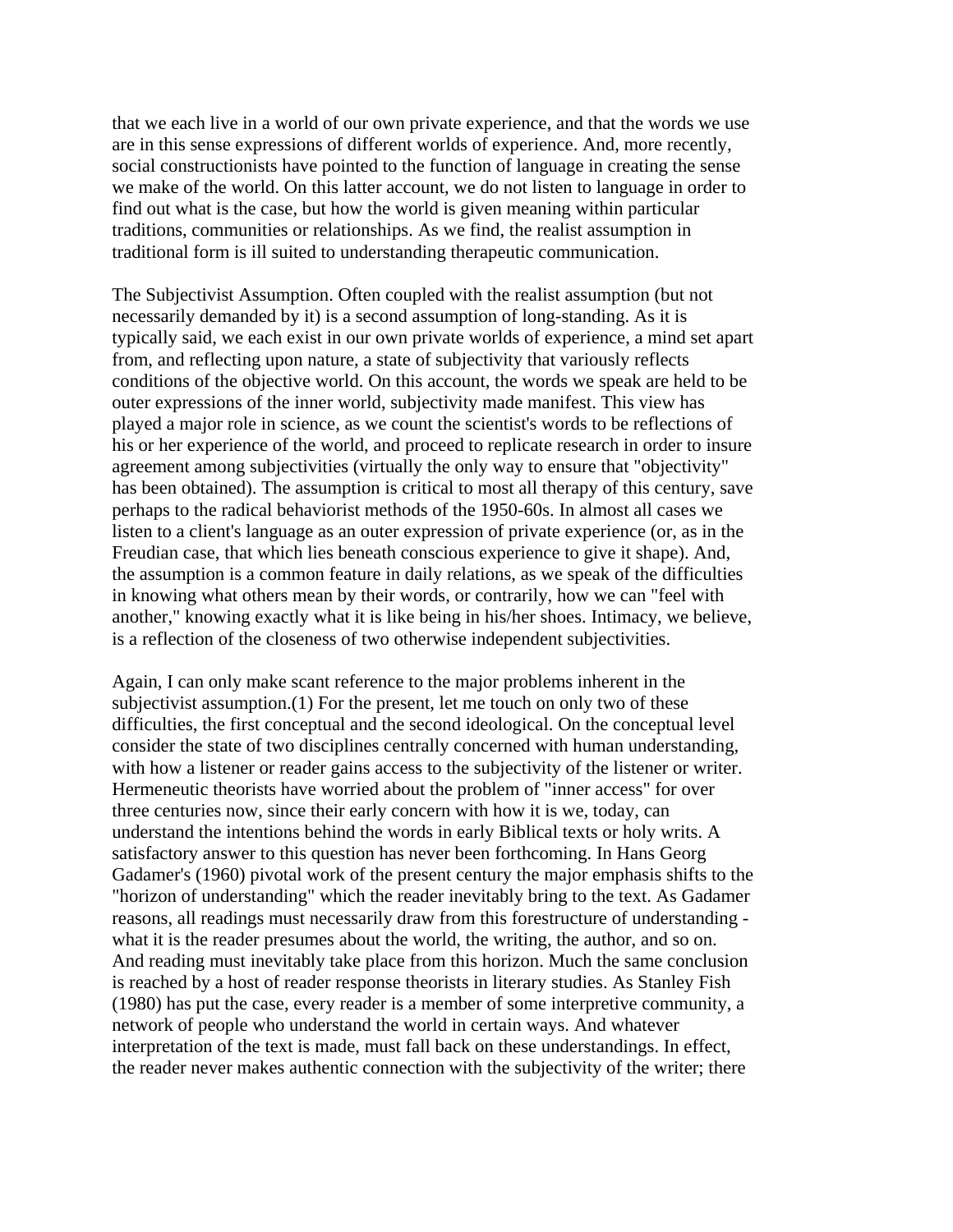that we each live in a world of our own private experience, and that the words we use are in this sense expressions of different worlds of experience. And, more recently, social constructionists have pointed to the function of language in creating the sense we make of the world. On this latter account, we do not listen to language in order to find out what is the case, but how the world is given meaning within particular traditions, communities or relationships. As we find, the realist assumption in traditional form is ill suited to understanding therapeutic communication.

The Subjectivist Assumption. Often coupled with the realist assumption (but not necessarily demanded by it) is a second assumption of long-standing. As it is typically said, we each exist in our own private worlds of experience, a mind set apart from, and reflecting upon nature, a state of subjectivity that variously reflects conditions of the objective world. On this account, the words we speak are held to be outer expressions of the inner world, subjectivity made manifest. This view has played a major role in science, as we count the scientist's words to be reflections of his or her experience of the world, and proceed to replicate research in order to insure agreement among subjectivities (virtually the only way to ensure that "objectivity" has been obtained). The assumption is critical to most all therapy of this century, save perhaps to the radical behaviorist methods of the 1950-60s. In almost all cases we listen to a client's language as an outer expression of private experience (or, as in the Freudian case, that which lies beneath conscious experience to give it shape). And, the assumption is a common feature in daily relations, as we speak of the difficulties in knowing what others mean by their words, or contrarily, how we can "feel with another," knowing exactly what it is like being in his/her shoes. Intimacy, we believe, is a reflection of the closeness of two otherwise independent subjectivities.

Again, I can only make scant reference to the major problems inherent in the subjectivist assumption.(1) For the present, let me touch on only two of these difficulties, the first conceptual and the second ideological. On the conceptual level consider the state of two disciplines centrally concerned with human understanding, with how a listener or reader gains access to the subjectivity of the listener or writer. Hermeneutic theorists have worried about the problem of "inner access" for over three centuries now, since their early concern with how it is we, today, can understand the intentions behind the words in early Biblical texts or holy writs. A satisfactory answer to this question has never been forthcoming. In Hans Georg Gadamer's (1960) pivotal work of the present century the major emphasis shifts to the "horizon of understanding" which the reader inevitably bring to the text. As Gadamer reasons, all readings must necessarily draw from this forestructure of understanding what it is the reader presumes about the world, the writing, the author, and so on. And reading must inevitably take place from this horizon. Much the same conclusion is reached by a host of reader response theorists in literary studies. As Stanley Fish (1980) has put the case, every reader is a member of some interpretive community, a network of people who understand the world in certain ways. And whatever interpretation of the text is made, must fall back on these understandings. In effect, the reader never makes authentic connection with the subjectivity of the writer; there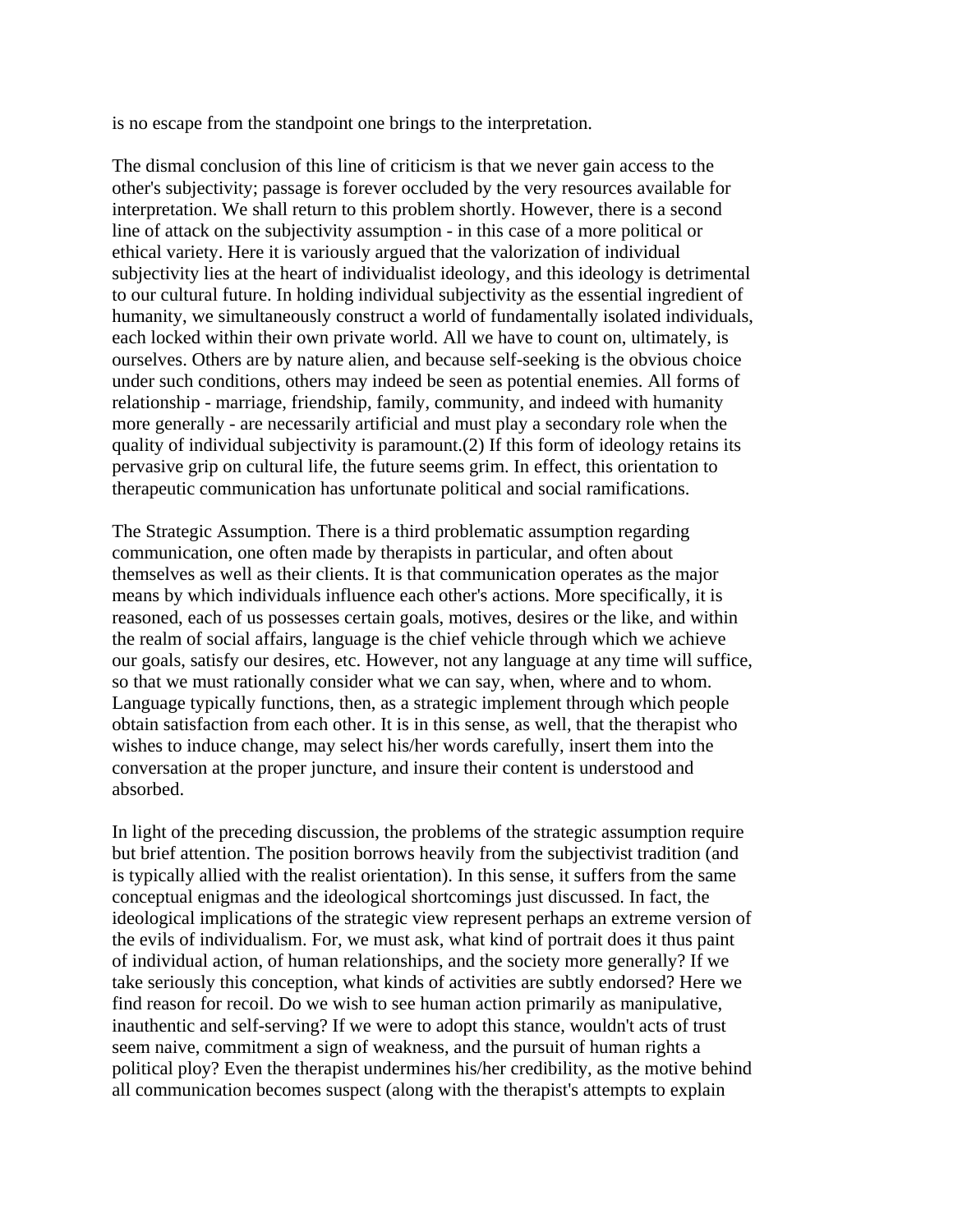is no escape from the standpoint one brings to the interpretation.

The dismal conclusion of this line of criticism is that we never gain access to the other's subjectivity; passage is forever occluded by the very resources available for interpretation. We shall return to this problem shortly. However, there is a second line of attack on the subjectivity assumption - in this case of a more political or ethical variety. Here it is variously argued that the valorization of individual subjectivity lies at the heart of individualist ideology, and this ideology is detrimental to our cultural future. In holding individual subjectivity as the essential ingredient of humanity, we simultaneously construct a world of fundamentally isolated individuals, each locked within their own private world. All we have to count on, ultimately, is ourselves. Others are by nature alien, and because self-seeking is the obvious choice under such conditions, others may indeed be seen as potential enemies. All forms of relationship - marriage, friendship, family, community, and indeed with humanity more generally - are necessarily artificial and must play a secondary role when the quality of individual subjectivity is paramount.(2) If this form of ideology retains its pervasive grip on cultural life, the future seems grim. In effect, this orientation to therapeutic communication has unfortunate political and social ramifications.

The Strategic Assumption. There is a third problematic assumption regarding communication, one often made by therapists in particular, and often about themselves as well as their clients. It is that communication operates as the major means by which individuals influence each other's actions. More specifically, it is reasoned, each of us possesses certain goals, motives, desires or the like, and within the realm of social affairs, language is the chief vehicle through which we achieve our goals, satisfy our desires, etc. However, not any language at any time will suffice, so that we must rationally consider what we can say, when, where and to whom. Language typically functions, then, as a strategic implement through which people obtain satisfaction from each other. It is in this sense, as well, that the therapist who wishes to induce change, may select his/her words carefully, insert them into the conversation at the proper juncture, and insure their content is understood and absorbed.

In light of the preceding discussion, the problems of the strategic assumption require but brief attention. The position borrows heavily from the subjectivist tradition (and is typically allied with the realist orientation). In this sense, it suffers from the same conceptual enigmas and the ideological shortcomings just discussed. In fact, the ideological implications of the strategic view represent perhaps an extreme version of the evils of individualism. For, we must ask, what kind of portrait does it thus paint of individual action, of human relationships, and the society more generally? If we take seriously this conception, what kinds of activities are subtly endorsed? Here we find reason for recoil. Do we wish to see human action primarily as manipulative, inauthentic and self-serving? If we were to adopt this stance, wouldn't acts of trust seem naive, commitment a sign of weakness, and the pursuit of human rights a political ploy? Even the therapist undermines his/her credibility, as the motive behind all communication becomes suspect (along with the therapist's attempts to explain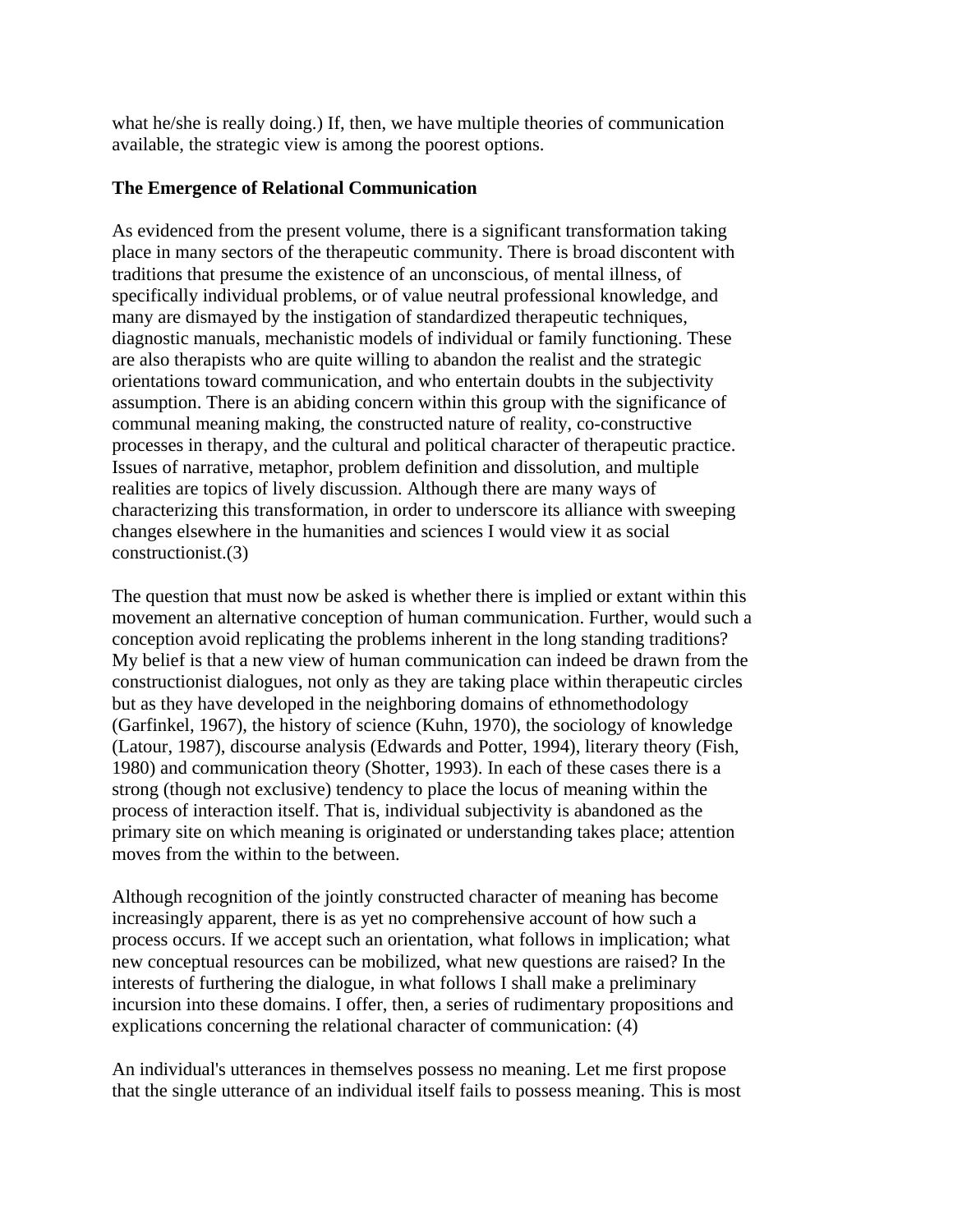what he/she is really doing.) If, then, we have multiple theories of communication available, the strategic view is among the poorest options.

## **The Emergence of Relational Communication**

As evidenced from the present volume, there is a significant transformation taking place in many sectors of the therapeutic community. There is broad discontent with traditions that presume the existence of an unconscious, of mental illness, of specifically individual problems, or of value neutral professional knowledge, and many are dismayed by the instigation of standardized therapeutic techniques, diagnostic manuals, mechanistic models of individual or family functioning. These are also therapists who are quite willing to abandon the realist and the strategic orientations toward communication, and who entertain doubts in the subjectivity assumption. There is an abiding concern within this group with the significance of communal meaning making, the constructed nature of reality, co-constructive processes in therapy, and the cultural and political character of therapeutic practice. Issues of narrative, metaphor, problem definition and dissolution, and multiple realities are topics of lively discussion. Although there are many ways of characterizing this transformation, in order to underscore its alliance with sweeping changes elsewhere in the humanities and sciences I would view it as social constructionist.(3)

The question that must now be asked is whether there is implied or extant within this movement an alternative conception of human communication. Further, would such a conception avoid replicating the problems inherent in the long standing traditions? My belief is that a new view of human communication can indeed be drawn from the constructionist dialogues, not only as they are taking place within therapeutic circles but as they have developed in the neighboring domains of ethnomethodology (Garfinkel, 1967), the history of science (Kuhn, 1970), the sociology of knowledge (Latour, 1987), discourse analysis (Edwards and Potter, 1994), literary theory (Fish, 1980) and communication theory (Shotter, 1993). In each of these cases there is a strong (though not exclusive) tendency to place the locus of meaning within the process of interaction itself. That is, individual subjectivity is abandoned as the primary site on which meaning is originated or understanding takes place; attention moves from the within to the between.

Although recognition of the jointly constructed character of meaning has become increasingly apparent, there is as yet no comprehensive account of how such a process occurs. If we accept such an orientation, what follows in implication; what new conceptual resources can be mobilized, what new questions are raised? In the interests of furthering the dialogue, in what follows I shall make a preliminary incursion into these domains. I offer, then, a series of rudimentary propositions and explications concerning the relational character of communication: (4)

An individual's utterances in themselves possess no meaning. Let me first propose that the single utterance of an individual itself fails to possess meaning. This is most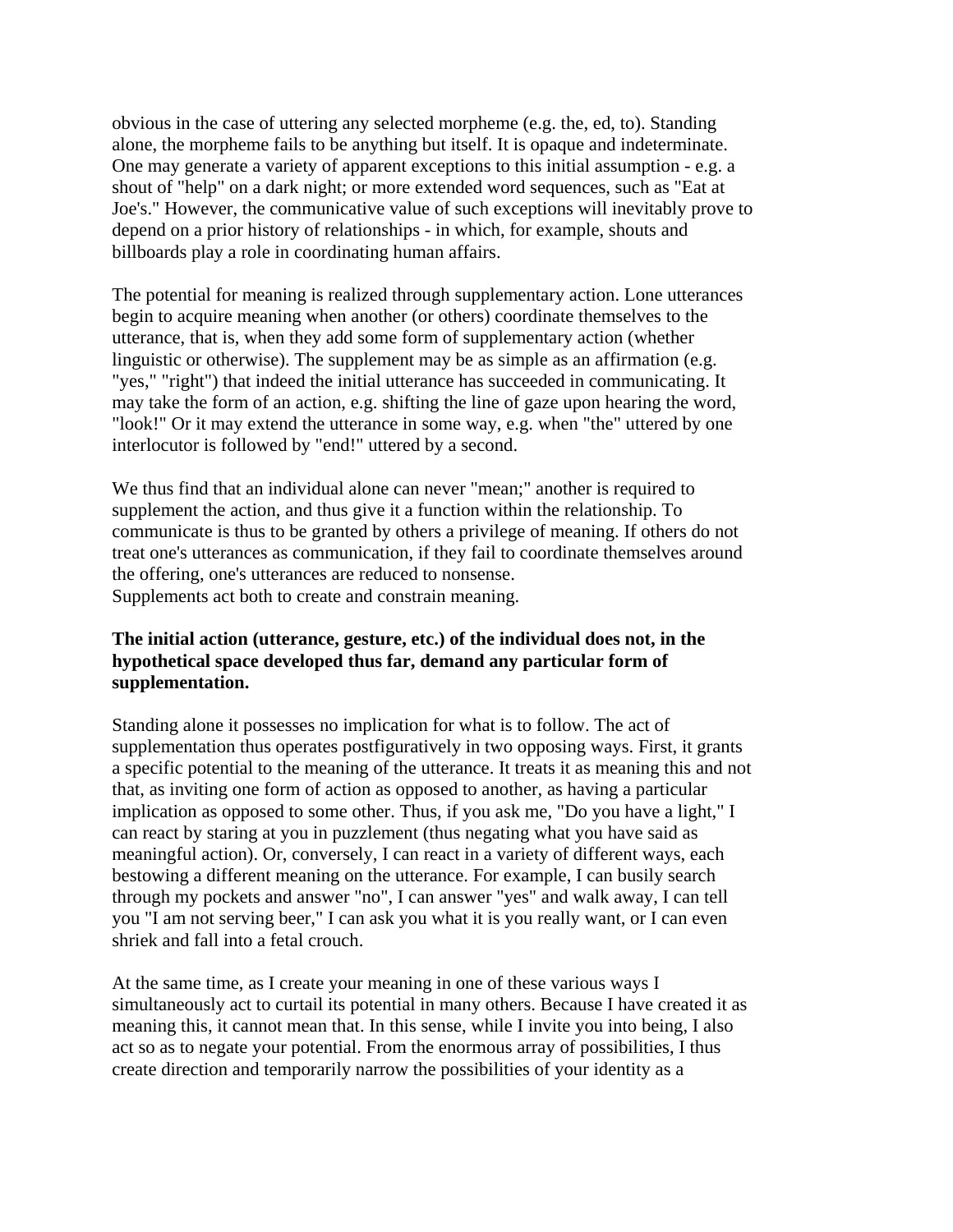obvious in the case of uttering any selected morpheme (e.g. the, ed, to). Standing alone, the morpheme fails to be anything but itself. It is opaque and indeterminate. One may generate a variety of apparent exceptions to this initial assumption - e.g. a shout of "help" on a dark night; or more extended word sequences, such as "Eat at Joe's." However, the communicative value of such exceptions will inevitably prove to depend on a prior history of relationships - in which, for example, shouts and billboards play a role in coordinating human affairs.

The potential for meaning is realized through supplementary action. Lone utterances begin to acquire meaning when another (or others) coordinate themselves to the utterance, that is, when they add some form of supplementary action (whether linguistic or otherwise). The supplement may be as simple as an affirmation (e.g. "yes," "right") that indeed the initial utterance has succeeded in communicating. It may take the form of an action, e.g. shifting the line of gaze upon hearing the word, "look!" Or it may extend the utterance in some way, e.g. when "the" uttered by one interlocutor is followed by "end!" uttered by a second.

We thus find that an individual alone can never "mean;" another is required to supplement the action, and thus give it a function within the relationship. To communicate is thus to be granted by others a privilege of meaning. If others do not treat one's utterances as communication, if they fail to coordinate themselves around the offering, one's utterances are reduced to nonsense. Supplements act both to create and constrain meaning.

# **The initial action (utterance, gesture, etc.) of the individual does not, in the hypothetical space developed thus far, demand any particular form of supplementation.**

Standing alone it possesses no implication for what is to follow. The act of supplementation thus operates postfiguratively in two opposing ways. First, it grants a specific potential to the meaning of the utterance. It treats it as meaning this and not that, as inviting one form of action as opposed to another, as having a particular implication as opposed to some other. Thus, if you ask me, "Do you have a light," I can react by staring at you in puzzlement (thus negating what you have said as meaningful action). Or, conversely, I can react in a variety of different ways, each bestowing a different meaning on the utterance. For example, I can busily search through my pockets and answer "no", I can answer "yes" and walk away, I can tell you "I am not serving beer," I can ask you what it is you really want, or I can even shriek and fall into a fetal crouch.

At the same time, as I create your meaning in one of these various ways I simultaneously act to curtail its potential in many others. Because I have created it as meaning this, it cannot mean that. In this sense, while I invite you into being, I also act so as to negate your potential. From the enormous array of possibilities, I thus create direction and temporarily narrow the possibilities of your identity as a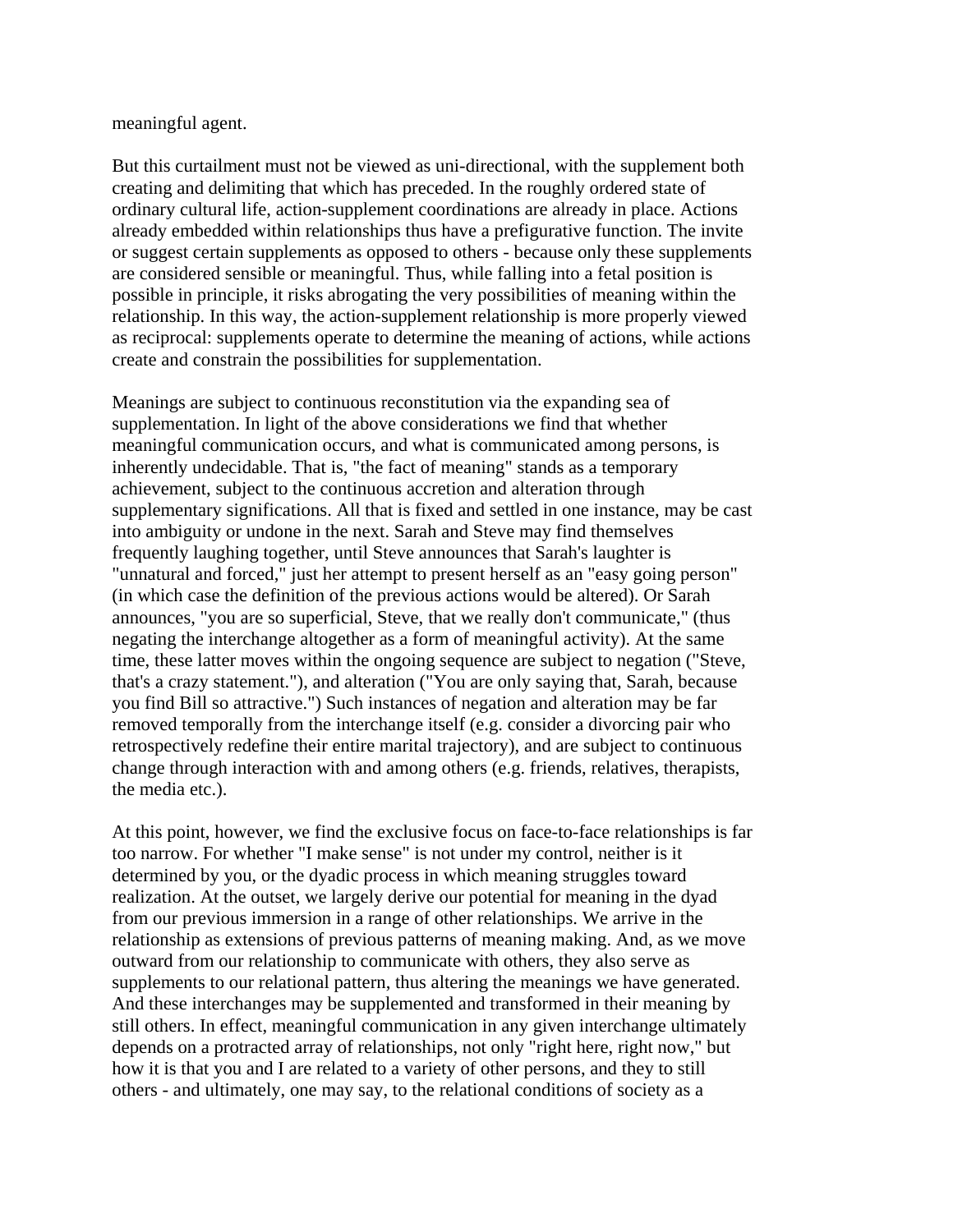meaningful agent.

But this curtailment must not be viewed as uni-directional, with the supplement both creating and delimiting that which has preceded. In the roughly ordered state of ordinary cultural life, action-supplement coordinations are already in place. Actions already embedded within relationships thus have a prefigurative function. The invite or suggest certain supplements as opposed to others - because only these supplements are considered sensible or meaningful. Thus, while falling into a fetal position is possible in principle, it risks abrogating the very possibilities of meaning within the relationship. In this way, the action-supplement relationship is more properly viewed as reciprocal: supplements operate to determine the meaning of actions, while actions create and constrain the possibilities for supplementation.

Meanings are subject to continuous reconstitution via the expanding sea of supplementation. In light of the above considerations we find that whether meaningful communication occurs, and what is communicated among persons, is inherently undecidable. That is, "the fact of meaning" stands as a temporary achievement, subject to the continuous accretion and alteration through supplementary significations. All that is fixed and settled in one instance, may be cast into ambiguity or undone in the next. Sarah and Steve may find themselves frequently laughing together, until Steve announces that Sarah's laughter is "unnatural and forced," just her attempt to present herself as an "easy going person" (in which case the definition of the previous actions would be altered). Or Sarah announces, "you are so superficial, Steve, that we really don't communicate," (thus negating the interchange altogether as a form of meaningful activity). At the same time, these latter moves within the ongoing sequence are subject to negation ("Steve, that's a crazy statement."), and alteration ("You are only saying that, Sarah, because you find Bill so attractive.") Such instances of negation and alteration may be far removed temporally from the interchange itself (e.g. consider a divorcing pair who retrospectively redefine their entire marital trajectory), and are subject to continuous change through interaction with and among others (e.g. friends, relatives, therapists, the media etc.).

At this point, however, we find the exclusive focus on face-to-face relationships is far too narrow. For whether "I make sense" is not under my control, neither is it determined by you, or the dyadic process in which meaning struggles toward realization. At the outset, we largely derive our potential for meaning in the dyad from our previous immersion in a range of other relationships. We arrive in the relationship as extensions of previous patterns of meaning making. And, as we move outward from our relationship to communicate with others, they also serve as supplements to our relational pattern, thus altering the meanings we have generated. And these interchanges may be supplemented and transformed in their meaning by still others. In effect, meaningful communication in any given interchange ultimately depends on a protracted array of relationships, not only "right here, right now," but how it is that you and I are related to a variety of other persons, and they to still others - and ultimately, one may say, to the relational conditions of society as a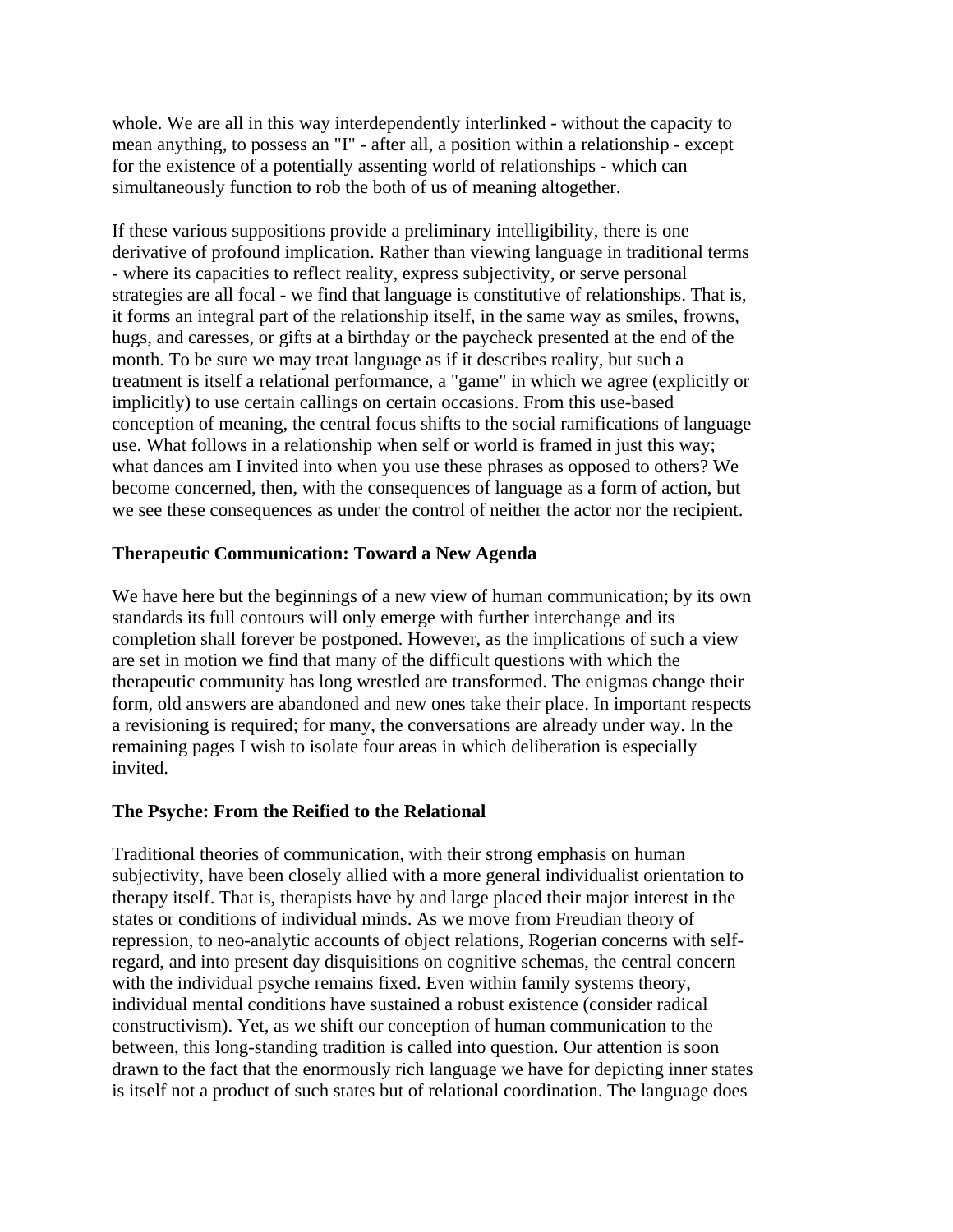whole. We are all in this way interdependently interlinked - without the capacity to mean anything, to possess an "I" - after all, a position within a relationship - except for the existence of a potentially assenting world of relationships - which can simultaneously function to rob the both of us of meaning altogether.

If these various suppositions provide a preliminary intelligibility, there is one derivative of profound implication. Rather than viewing language in traditional terms - where its capacities to reflect reality, express subjectivity, or serve personal strategies are all focal - we find that language is constitutive of relationships. That is, it forms an integral part of the relationship itself, in the same way as smiles, frowns, hugs, and caresses, or gifts at a birthday or the paycheck presented at the end of the month. To be sure we may treat language as if it describes reality, but such a treatment is itself a relational performance, a "game" in which we agree (explicitly or implicitly) to use certain callings on certain occasions. From this use-based conception of meaning, the central focus shifts to the social ramifications of language use. What follows in a relationship when self or world is framed in just this way; what dances am I invited into when you use these phrases as opposed to others? We become concerned, then, with the consequences of language as a form of action, but we see these consequences as under the control of neither the actor nor the recipient.

# **Therapeutic Communication: Toward a New Agenda**

We have here but the beginnings of a new view of human communication; by its own standards its full contours will only emerge with further interchange and its completion shall forever be postponed. However, as the implications of such a view are set in motion we find that many of the difficult questions with which the therapeutic community has long wrestled are transformed. The enigmas change their form, old answers are abandoned and new ones take their place. In important respects a revisioning is required; for many, the conversations are already under way. In the remaining pages I wish to isolate four areas in which deliberation is especially invited.

#### **The Psyche: From the Reified to the Relational**

Traditional theories of communication, with their strong emphasis on human subjectivity, have been closely allied with a more general individualist orientation to therapy itself. That is, therapists have by and large placed their major interest in the states or conditions of individual minds. As we move from Freudian theory of repression, to neo-analytic accounts of object relations, Rogerian concerns with selfregard, and into present day disquisitions on cognitive schemas, the central concern with the individual psyche remains fixed. Even within family systems theory, individual mental conditions have sustained a robust existence (consider radical constructivism). Yet, as we shift our conception of human communication to the between, this long-standing tradition is called into question. Our attention is soon drawn to the fact that the enormously rich language we have for depicting inner states is itself not a product of such states but of relational coordination. The language does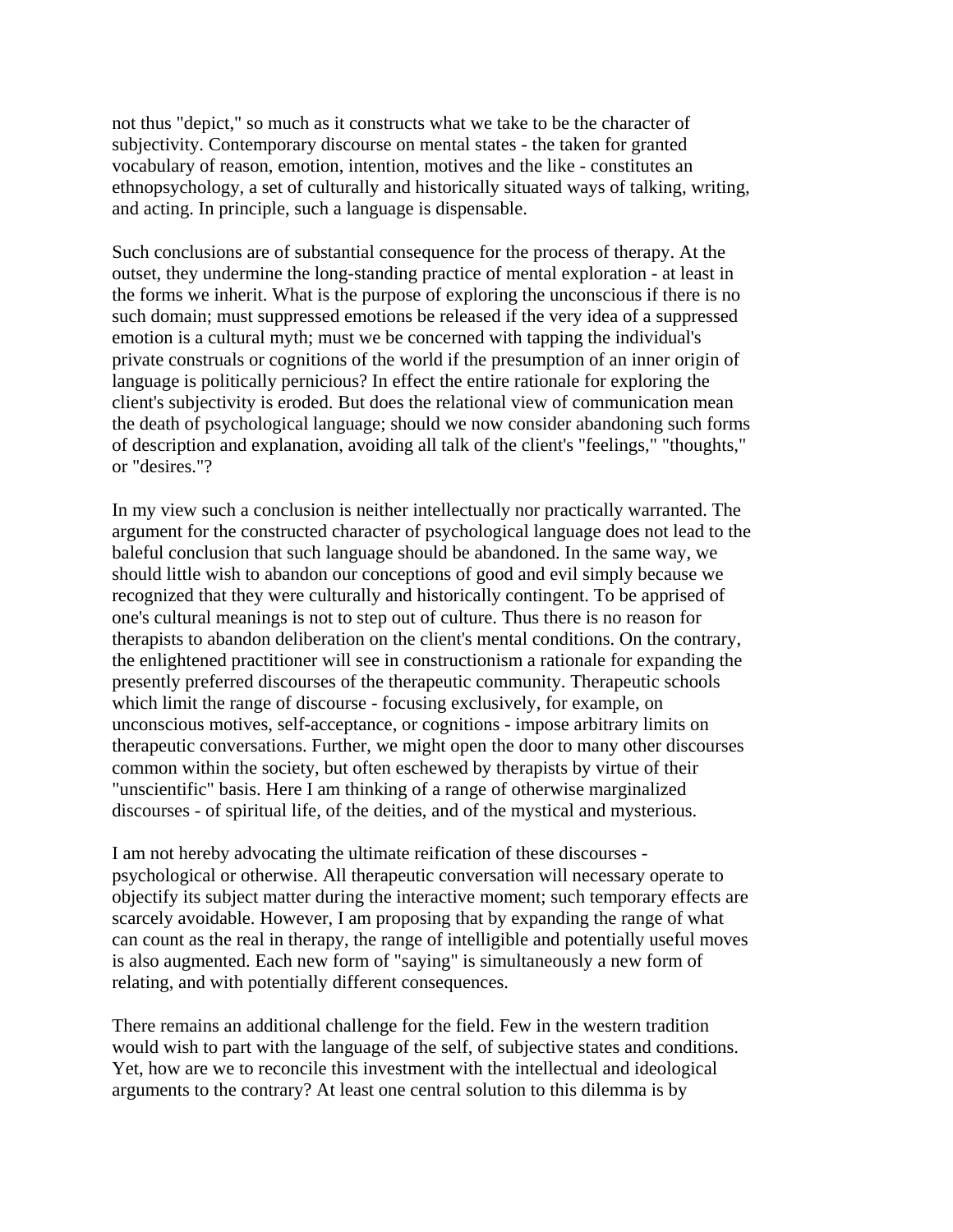not thus "depict," so much as it constructs what we take to be the character of subjectivity. Contemporary discourse on mental states - the taken for granted vocabulary of reason, emotion, intention, motives and the like - constitutes an ethnopsychology, a set of culturally and historically situated ways of talking, writing, and acting. In principle, such a language is dispensable.

Such conclusions are of substantial consequence for the process of therapy. At the outset, they undermine the long-standing practice of mental exploration - at least in the forms we inherit. What is the purpose of exploring the unconscious if there is no such domain; must suppressed emotions be released if the very idea of a suppressed emotion is a cultural myth; must we be concerned with tapping the individual's private construals or cognitions of the world if the presumption of an inner origin of language is politically pernicious? In effect the entire rationale for exploring the client's subjectivity is eroded. But does the relational view of communication mean the death of psychological language; should we now consider abandoning such forms of description and explanation, avoiding all talk of the client's "feelings," "thoughts," or "desires."?

In my view such a conclusion is neither intellectually nor practically warranted. The argument for the constructed character of psychological language does not lead to the baleful conclusion that such language should be abandoned. In the same way, we should little wish to abandon our conceptions of good and evil simply because we recognized that they were culturally and historically contingent. To be apprised of one's cultural meanings is not to step out of culture. Thus there is no reason for therapists to abandon deliberation on the client's mental conditions. On the contrary, the enlightened practitioner will see in constructionism a rationale for expanding the presently preferred discourses of the therapeutic community. Therapeutic schools which limit the range of discourse - focusing exclusively, for example, on unconscious motives, self-acceptance, or cognitions - impose arbitrary limits on therapeutic conversations. Further, we might open the door to many other discourses common within the society, but often eschewed by therapists by virtue of their "unscientific" basis. Here I am thinking of a range of otherwise marginalized discourses - of spiritual life, of the deities, and of the mystical and mysterious.

I am not hereby advocating the ultimate reification of these discourses psychological or otherwise. All therapeutic conversation will necessary operate to objectify its subject matter during the interactive moment; such temporary effects are scarcely avoidable. However, I am proposing that by expanding the range of what can count as the real in therapy, the range of intelligible and potentially useful moves is also augmented. Each new form of "saying" is simultaneously a new form of relating, and with potentially different consequences.

There remains an additional challenge for the field. Few in the western tradition would wish to part with the language of the self, of subjective states and conditions. Yet, how are we to reconcile this investment with the intellectual and ideological arguments to the contrary? At least one central solution to this dilemma is by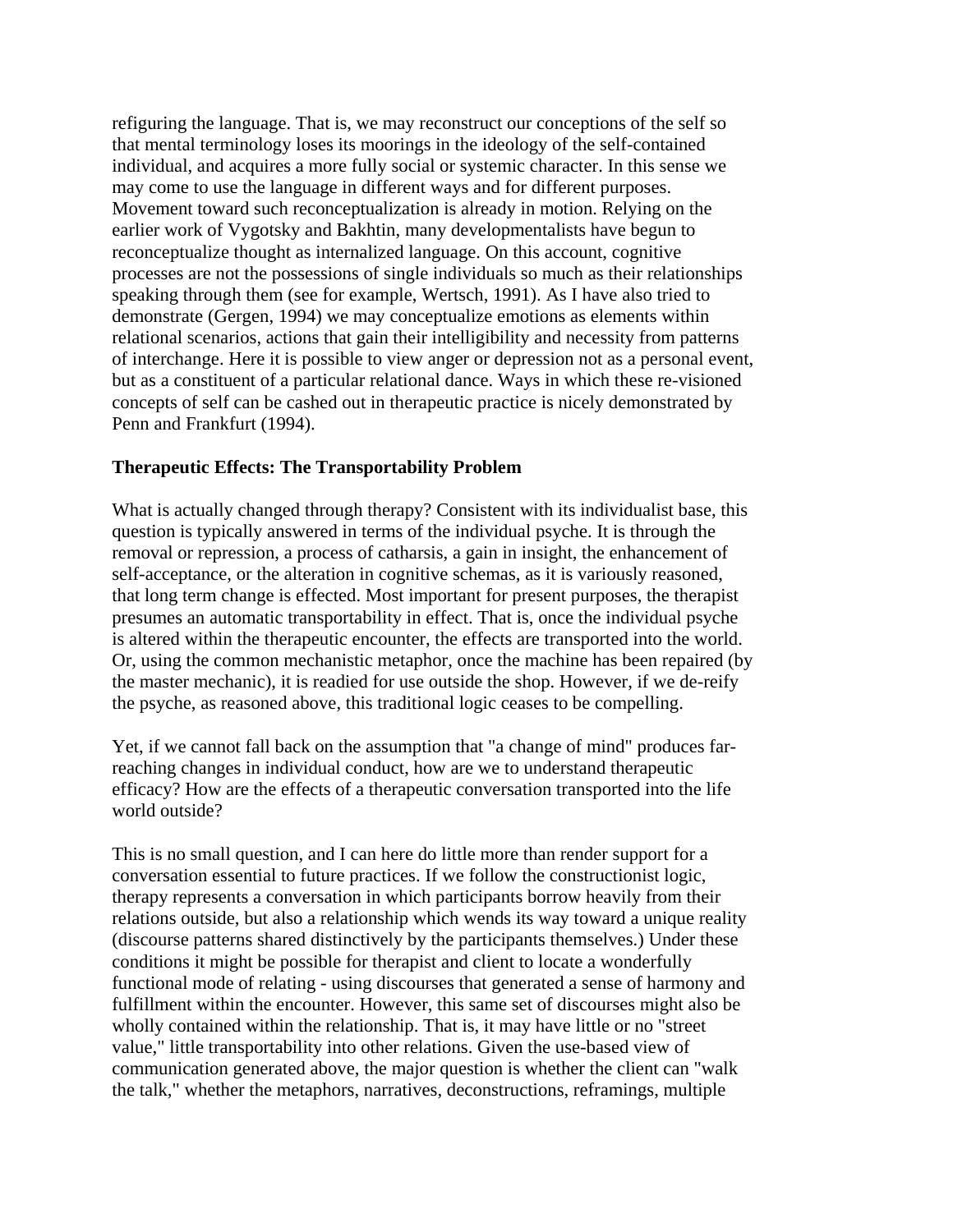refiguring the language. That is, we may reconstruct our conceptions of the self so that mental terminology loses its moorings in the ideology of the self-contained individual, and acquires a more fully social or systemic character. In this sense we may come to use the language in different ways and for different purposes. Movement toward such reconceptualization is already in motion. Relying on the earlier work of Vygotsky and Bakhtin, many developmentalists have begun to reconceptualize thought as internalized language. On this account, cognitive processes are not the possessions of single individuals so much as their relationships speaking through them (see for example, Wertsch, 1991). As I have also tried to demonstrate (Gergen, 1994) we may conceptualize emotions as elements within relational scenarios, actions that gain their intelligibility and necessity from patterns of interchange. Here it is possible to view anger or depression not as a personal event, but as a constituent of a particular relational dance. Ways in which these re-visioned concepts of self can be cashed out in therapeutic practice is nicely demonstrated by Penn and Frankfurt (1994).

#### **Therapeutic Effects: The Transportability Problem**

What is actually changed through therapy? Consistent with its individualist base, this question is typically answered in terms of the individual psyche. It is through the removal or repression, a process of catharsis, a gain in insight, the enhancement of self-acceptance, or the alteration in cognitive schemas, as it is variously reasoned, that long term change is effected. Most important for present purposes, the therapist presumes an automatic transportability in effect. That is, once the individual psyche is altered within the therapeutic encounter, the effects are transported into the world. Or, using the common mechanistic metaphor, once the machine has been repaired (by the master mechanic), it is readied for use outside the shop. However, if we de-reify the psyche, as reasoned above, this traditional logic ceases to be compelling.

Yet, if we cannot fall back on the assumption that "a change of mind" produces farreaching changes in individual conduct, how are we to understand therapeutic efficacy? How are the effects of a therapeutic conversation transported into the life world outside?

This is no small question, and I can here do little more than render support for a conversation essential to future practices. If we follow the constructionist logic, therapy represents a conversation in which participants borrow heavily from their relations outside, but also a relationship which wends its way toward a unique reality (discourse patterns shared distinctively by the participants themselves.) Under these conditions it might be possible for therapist and client to locate a wonderfully functional mode of relating - using discourses that generated a sense of harmony and fulfillment within the encounter. However, this same set of discourses might also be wholly contained within the relationship. That is, it may have little or no "street value," little transportability into other relations. Given the use-based view of communication generated above, the major question is whether the client can "walk the talk," whether the metaphors, narratives, deconstructions, reframings, multiple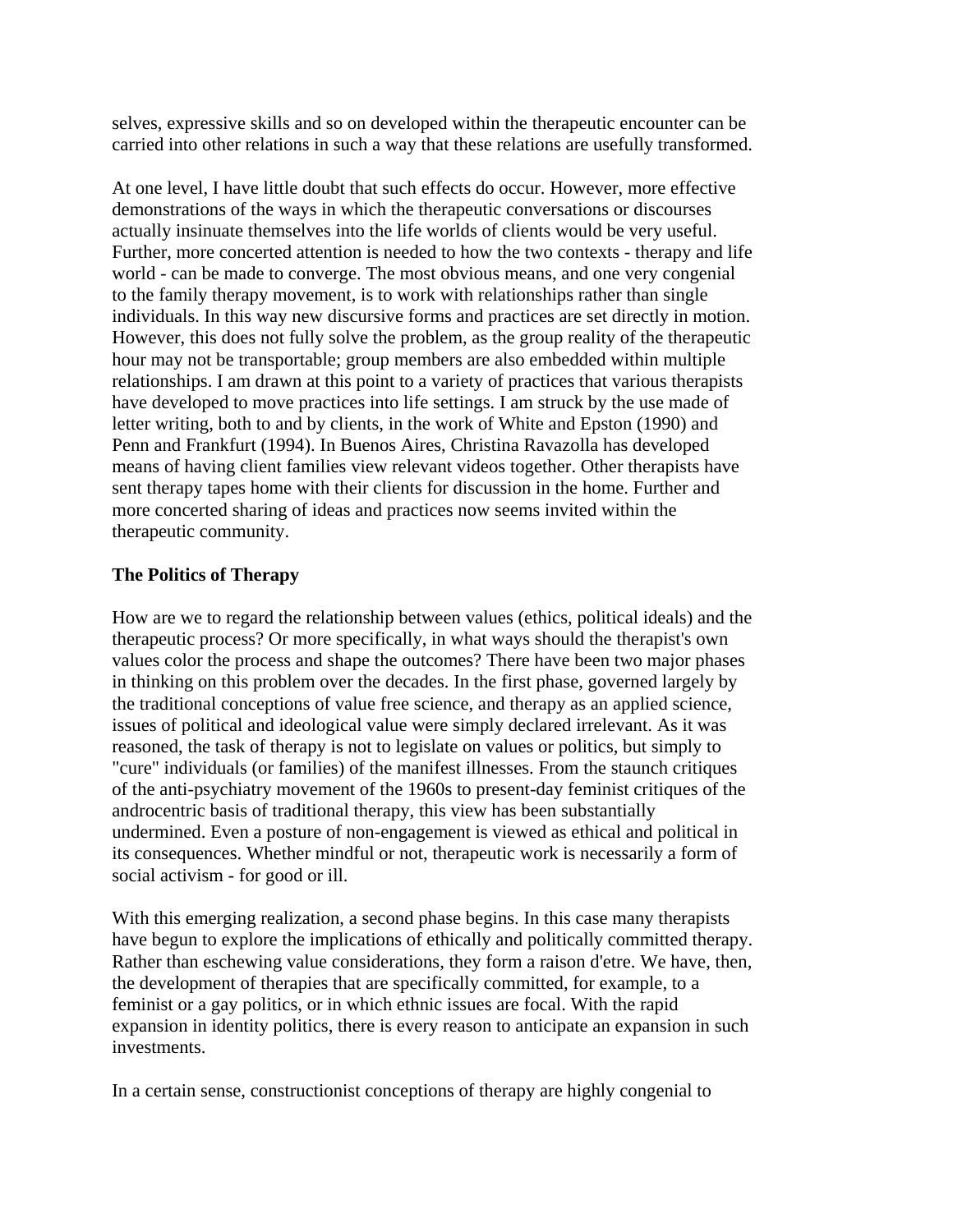selves, expressive skills and so on developed within the therapeutic encounter can be carried into other relations in such a way that these relations are usefully transformed.

At one level, I have little doubt that such effects do occur. However, more effective demonstrations of the ways in which the therapeutic conversations or discourses actually insinuate themselves into the life worlds of clients would be very useful. Further, more concerted attention is needed to how the two contexts - therapy and life world - can be made to converge. The most obvious means, and one very congenial to the family therapy movement, is to work with relationships rather than single individuals. In this way new discursive forms and practices are set directly in motion. However, this does not fully solve the problem, as the group reality of the therapeutic hour may not be transportable; group members are also embedded within multiple relationships. I am drawn at this point to a variety of practices that various therapists have developed to move practices into life settings. I am struck by the use made of letter writing, both to and by clients, in the work of White and Epston (1990) and Penn and Frankfurt (1994). In Buenos Aires, Christina Ravazolla has developed means of having client families view relevant videos together. Other therapists have sent therapy tapes home with their clients for discussion in the home. Further and more concerted sharing of ideas and practices now seems invited within the therapeutic community.

# **The Politics of Therapy**

How are we to regard the relationship between values (ethics, political ideals) and the therapeutic process? Or more specifically, in what ways should the therapist's own values color the process and shape the outcomes? There have been two major phases in thinking on this problem over the decades. In the first phase, governed largely by the traditional conceptions of value free science, and therapy as an applied science, issues of political and ideological value were simply declared irrelevant. As it was reasoned, the task of therapy is not to legislate on values or politics, but simply to "cure" individuals (or families) of the manifest illnesses. From the staunch critiques of the anti-psychiatry movement of the 1960s to present-day feminist critiques of the androcentric basis of traditional therapy, this view has been substantially undermined. Even a posture of non-engagement is viewed as ethical and political in its consequences. Whether mindful or not, therapeutic work is necessarily a form of social activism - for good or ill.

With this emerging realization, a second phase begins. In this case many therapists have begun to explore the implications of ethically and politically committed therapy. Rather than eschewing value considerations, they form a raison d'etre. We have, then, the development of therapies that are specifically committed, for example, to a feminist or a gay politics, or in which ethnic issues are focal. With the rapid expansion in identity politics, there is every reason to anticipate an expansion in such investments.

In a certain sense, constructionist conceptions of therapy are highly congenial to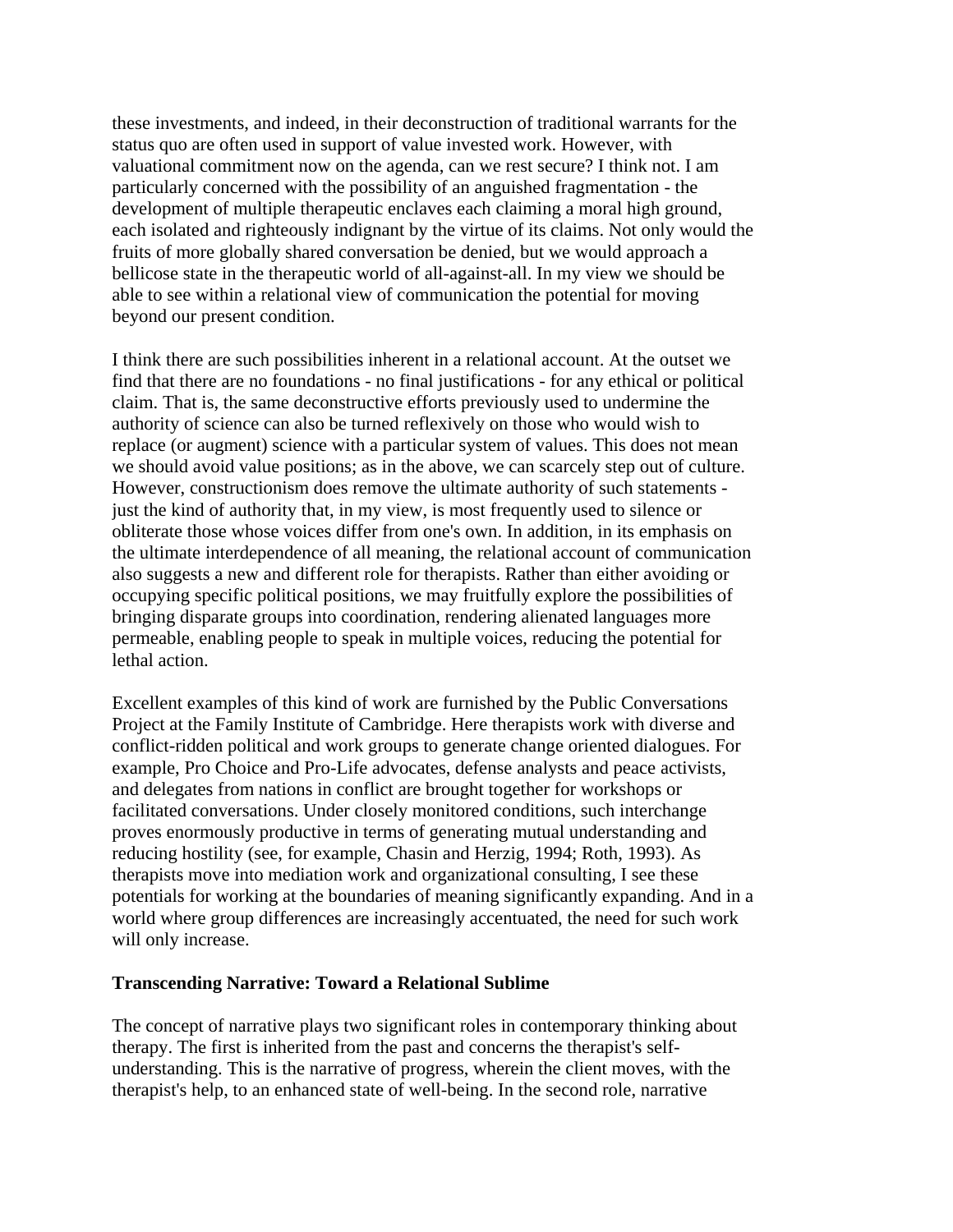these investments, and indeed, in their deconstruction of traditional warrants for the status quo are often used in support of value invested work. However, with valuational commitment now on the agenda, can we rest secure? I think not. I am particularly concerned with the possibility of an anguished fragmentation - the development of multiple therapeutic enclaves each claiming a moral high ground, each isolated and righteously indignant by the virtue of its claims. Not only would the fruits of more globally shared conversation be denied, but we would approach a bellicose state in the therapeutic world of all-against-all. In my view we should be able to see within a relational view of communication the potential for moving beyond our present condition.

I think there are such possibilities inherent in a relational account. At the outset we find that there are no foundations - no final justifications - for any ethical or political claim. That is, the same deconstructive efforts previously used to undermine the authority of science can also be turned reflexively on those who would wish to replace (or augment) science with a particular system of values. This does not mean we should avoid value positions; as in the above, we can scarcely step out of culture. However, constructionism does remove the ultimate authority of such statements just the kind of authority that, in my view, is most frequently used to silence or obliterate those whose voices differ from one's own. In addition, in its emphasis on the ultimate interdependence of all meaning, the relational account of communication also suggests a new and different role for therapists. Rather than either avoiding or occupying specific political positions, we may fruitfully explore the possibilities of bringing disparate groups into coordination, rendering alienated languages more permeable, enabling people to speak in multiple voices, reducing the potential for lethal action.

Excellent examples of this kind of work are furnished by the Public Conversations Project at the Family Institute of Cambridge. Here therapists work with diverse and conflict-ridden political and work groups to generate change oriented dialogues. For example, Pro Choice and Pro-Life advocates, defense analysts and peace activists, and delegates from nations in conflict are brought together for workshops or facilitated conversations. Under closely monitored conditions, such interchange proves enormously productive in terms of generating mutual understanding and reducing hostility (see, for example, Chasin and Herzig, 1994; Roth, 1993). As therapists move into mediation work and organizational consulting, I see these potentials for working at the boundaries of meaning significantly expanding. And in a world where group differences are increasingly accentuated, the need for such work will only increase.

#### **Transcending Narrative: Toward a Relational Sublime**

The concept of narrative plays two significant roles in contemporary thinking about therapy. The first is inherited from the past and concerns the therapist's selfunderstanding. This is the narrative of progress, wherein the client moves, with the therapist's help, to an enhanced state of well-being. In the second role, narrative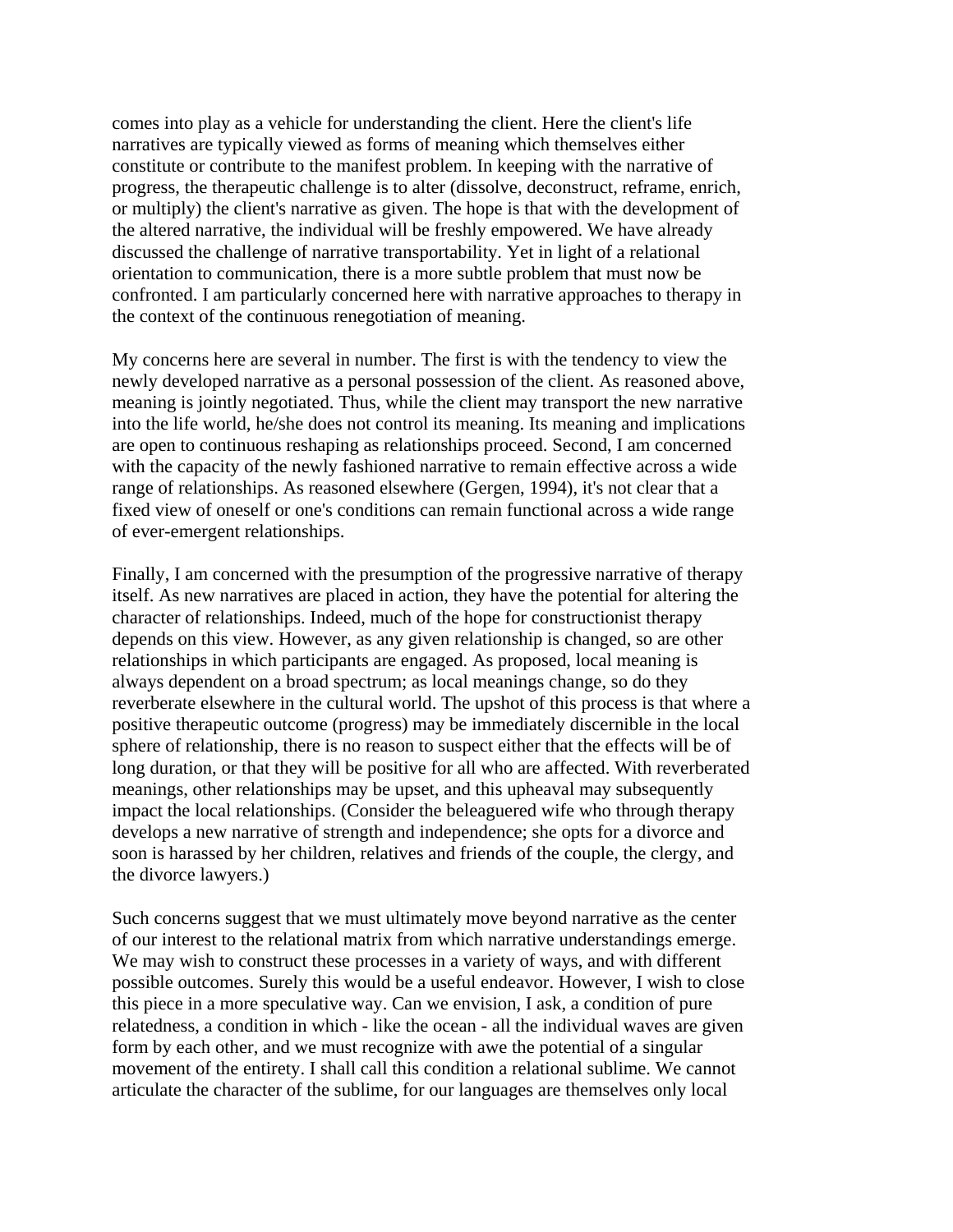comes into play as a vehicle for understanding the client. Here the client's life narratives are typically viewed as forms of meaning which themselves either constitute or contribute to the manifest problem. In keeping with the narrative of progress, the therapeutic challenge is to alter (dissolve, deconstruct, reframe, enrich, or multiply) the client's narrative as given. The hope is that with the development of the altered narrative, the individual will be freshly empowered. We have already discussed the challenge of narrative transportability. Yet in light of a relational orientation to communication, there is a more subtle problem that must now be confronted. I am particularly concerned here with narrative approaches to therapy in the context of the continuous renegotiation of meaning.

My concerns here are several in number. The first is with the tendency to view the newly developed narrative as a personal possession of the client. As reasoned above, meaning is jointly negotiated. Thus, while the client may transport the new narrative into the life world, he/she does not control its meaning. Its meaning and implications are open to continuous reshaping as relationships proceed. Second, I am concerned with the capacity of the newly fashioned narrative to remain effective across a wide range of relationships. As reasoned elsewhere (Gergen, 1994), it's not clear that a fixed view of oneself or one's conditions can remain functional across a wide range of ever-emergent relationships.

Finally, I am concerned with the presumption of the progressive narrative of therapy itself. As new narratives are placed in action, they have the potential for altering the character of relationships. Indeed, much of the hope for constructionist therapy depends on this view. However, as any given relationship is changed, so are other relationships in which participants are engaged. As proposed, local meaning is always dependent on a broad spectrum; as local meanings change, so do they reverberate elsewhere in the cultural world. The upshot of this process is that where a positive therapeutic outcome (progress) may be immediately discernible in the local sphere of relationship, there is no reason to suspect either that the effects will be of long duration, or that they will be positive for all who are affected. With reverberated meanings, other relationships may be upset, and this upheaval may subsequently impact the local relationships. (Consider the beleaguered wife who through therapy develops a new narrative of strength and independence; she opts for a divorce and soon is harassed by her children, relatives and friends of the couple, the clergy, and the divorce lawyers.)

Such concerns suggest that we must ultimately move beyond narrative as the center of our interest to the relational matrix from which narrative understandings emerge. We may wish to construct these processes in a variety of ways, and with different possible outcomes. Surely this would be a useful endeavor. However, I wish to close this piece in a more speculative way. Can we envision, I ask, a condition of pure relatedness, a condition in which - like the ocean - all the individual waves are given form by each other, and we must recognize with awe the potential of a singular movement of the entirety. I shall call this condition a relational sublime. We cannot articulate the character of the sublime, for our languages are themselves only local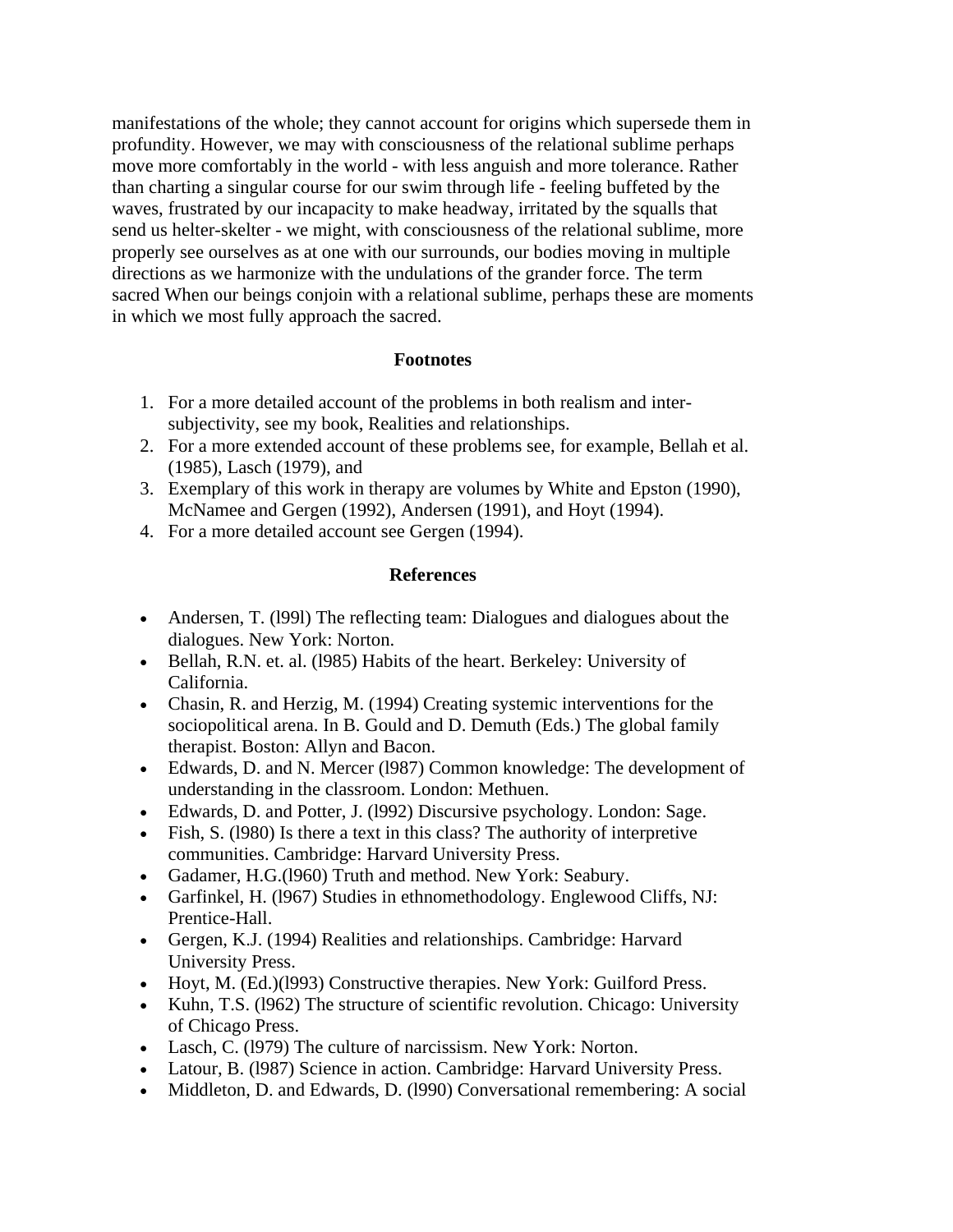manifestations of the whole; they cannot account for origins which supersede them in profundity. However, we may with consciousness of the relational sublime perhaps move more comfortably in the world - with less anguish and more tolerance. Rather than charting a singular course for our swim through life - feeling buffeted by the waves, frustrated by our incapacity to make headway, irritated by the squalls that send us helter-skelter - we might, with consciousness of the relational sublime, more properly see ourselves as at one with our surrounds, our bodies moving in multiple directions as we harmonize with the undulations of the grander force. The term sacred When our beings conjoin with a relational sublime, perhaps these are moments in which we most fully approach the sacred.

#### **Footnotes**

- 1. For a more detailed account of the problems in both realism and intersubjectivity, see my book, Realities and relationships.
- 2. For a more extended account of these problems see, for example, Bellah et al. (1985), Lasch (1979), and
- 3. Exemplary of this work in therapy are volumes by White and Epston (1990), McNamee and Gergen (1992), Andersen (1991), and Hoyt (1994).
- 4. For a more detailed account see Gergen (1994).

#### **References**

- Andersen, T. (1991) The reflecting team: Dialogues and dialogues about the dialogues. New York: Norton.
- Bellah, R.N. et. al. (l985) Habits of the heart. Berkeley: University of California.
- Chasin, R. and Herzig, M. (1994) Creating systemic interventions for the sociopolitical arena. In B. Gould and D. Demuth (Eds.) The global family therapist. Boston: Allyn and Bacon.
- Edwards, D. and N. Mercer (l987) Common knowledge: The development of understanding in the classroom. London: Methuen.
- Edwards, D. and Potter, J. (1992) Discursive psychology. London: Sage.
- Fish, S. (1980) Is there a text in this class? The authority of interpretive communities. Cambridge: Harvard University Press.
- Gadamer, H.G.(l960) Truth and method. New York: Seabury.
- Garfinkel, H. (l967) Studies in ethnomethodology. Englewood Cliffs, NJ: Prentice-Hall.
- Gergen, K.J. (1994) Realities and relationships. Cambridge: Harvard University Press.
- Hoyt, M. (Ed.)(l993) Constructive therapies. New York: Guilford Press.
- Kuhn, T.S. (l962) The structure of scientific revolution. Chicago: University of Chicago Press.
- Lasch, C. (1979) The culture of narcissism. New York: Norton.
- Latour, B. (l987) Science in action. Cambridge: Harvard University Press.
- Middleton, D. and Edwards, D. (1990) Conversational remembering: A social